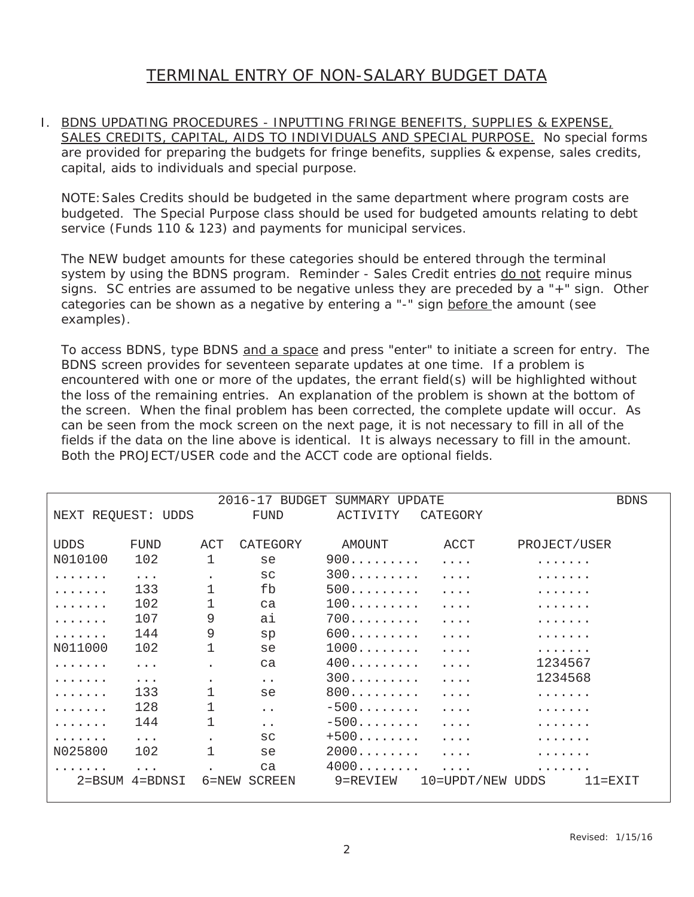## TERMINAL ENTRY OF NON-SALARY BUDGET DATA

I. BDNS UPDATING PROCEDURES - INPUTTING FRINGE BENEFITS, SUPPLIES & EXPENSE, SALES CREDITS, CAPITAL, AIDS TO INDIVIDUALS AND SPECIAL PURPOSE. No special forms are provided for preparing the budgets for fringe benefits, supplies & expense, sales credits, capital, aids to individuals and special purpose.

NOTE:Sales Credits should be budgeted in the same department where program costs are budgeted. The Special Purpose class should be used for budgeted amounts relating to debt service (Funds 110 & 123) and payments for municipal services.

The NEW budget amounts for these categories should be entered through the terminal system by using the BDNS program. Reminder - Sales Credit entries do not require minus signs. SC entries are assumed to be negative unless they are preceded by a "+" sign. Other categories can be shown as a negative by entering a "-" sign before the amount (see examples).

To access BDNS, type BDNS and a space and press "enter" to initiate a screen for entry. The BDNS screen provides for seventeen separate updates at one time. If a problem is encountered with one or more of the updates, the errant field(s) will be highlighted without the loss of the remaining entries. An explanation of the problem is shown at the bottom of the screen. When the final problem has been corrected, the complete update will occur. As can be seen from the mock screen on the next page, it is not necessary to fill in all of the fields if the data on the line above is identical. It is always necessary to fill in the amount. Both the PROJECT/USER code and the ACCT code are optional fields.

|                    |             | <b>BDNS</b> |                      |                          |                         |                      |
|--------------------|-------------|-------------|----------------------|--------------------------|-------------------------|----------------------|
| NEXT REQUEST: UDDS |             |             | FUND                 | ACTIVITY                 | CATEGORY                |                      |
|                    |             |             |                      |                          |                         |                      |
| <b>UDDS</b>        | FUND        | ACT         | CATEGORY             | AMOUNT                   | ACCT                    | PROJECT/USER         |
| N010100            | 102         | 1           | se                   | $900 \ldots \ldots$      | $\cdot$                 |                      |
|                    | $\ddots$    |             | SC                   | 300                      | $\cdot \cdot \cdot$ .   | .                    |
|                    | 133         | 1           | fb                   | 500                      | $\cdot$                 |                      |
|                    | 102         |             | ca                   | 100                      | $\cdot$                 |                      |
|                    | 107         | 9           | ai                   | $700$                    | $\cdot$ $\cdot$ $\cdot$ |                      |
|                    | 144         | 9           | sp                   | 600                      | $\cdot$                 | .                    |
| N011000            | 102         | 1           | se                   | 1000                     | $\cdot$                 |                      |
|                    | $\ddots$ .  |             | ca                   | 400                      | $\cdot$                 | 1234567              |
|                    | $\ddots$ .  |             | $\ddot{\phantom{0}}$ | 300                      | $\cdot$                 | 1234568              |
|                    | 133         |             | se                   | $800$                    | $\cdot$                 |                      |
|                    | 128         |             | $\ddot{\phantom{a}}$ | $-500$                   | $\cdot$                 |                      |
|                    | 144         |             | $\ddot{\phantom{a}}$ | $-500$                   | .                       |                      |
|                    | $\ddots$ .  |             | SC                   | $+500$                   | $\cdot$                 |                      |
| N025800            | 102         | 1           | se                   | 2000                     | $\cdot$                 |                      |
|                    |             |             | ca                   | $4000\ldots\ldots\ldots$ | $\cdot \cdot \cdot$     |                      |
| 2=BSUM             | $4 =$ BDNSI | 6=NEW       | <b>SCREEN</b>        | 9=REVIEW                 | 10=UPDT/NEW UDDS        | $11 =$ $\text{EXTT}$ |
|                    |             |             |                      |                          |                         |                      |